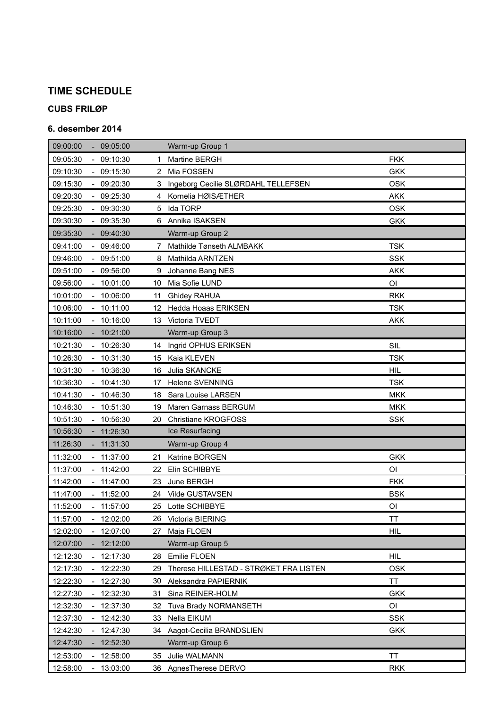# **TIME SCHEDULE**

### **CUBS FRILØP**

#### **6. desember 2014**

| 09:00:00<br>$-09:05:00$                          | Warm-up Group 1                              |                |
|--------------------------------------------------|----------------------------------------------|----------------|
| 09:05:30<br>$-09:10:30$                          | Martine BERGH<br>1.                          | <b>FKK</b>     |
| 09:10:30<br>$-09:15:30$                          | 2 Mia FOSSEN                                 | <b>GKK</b>     |
| 09:15:30<br>$-09:20:30$                          | Ingeborg Cecilie SLØRDAHL TELLEFSEN<br>3.    | <b>OSK</b>     |
| 09:20:30<br>$-09:25:30$                          | Kornelia HØISÆTHER<br>4                      | <b>AKK</b>     |
| 09:25:30<br>$-09:30:30$                          | Ida TORP<br>5                                | <b>OSK</b>     |
| 09:35:30<br>09:30:30<br>$\sim$                   | 6 Annika ISAKSEN                             | <b>GKK</b>     |
| 09:35:30<br>09:40:30<br>$\sim$                   | Warm-up Group 2                              |                |
| 09:46:00<br>09:41:00<br>$\sim$                   | Mathilde Tønseth ALMBAKK<br>7                | <b>TSK</b>     |
| 09:46:00<br>$-09:51:00$                          | Mathilda ARNTZEN<br>8                        | <b>SSK</b>     |
| 09:51:00<br>$-09:56:00$                          | Johanne Bang NES<br>9                        | <b>AKK</b>     |
| 09:56:00<br>10:01:00                             | Mia Sofie LUND<br>10                         | O <sub>l</sub> |
| 10:01:00<br>$-10:06:00$                          | Ghidey RAHUA<br>11                           | <b>RKK</b>     |
| 10:06:00<br>10:11:00                             | Hedda Hoaas ERIKSEN<br>12                    | <b>TSK</b>     |
| 10:11:00<br>$-10:16:00$                          | Victoria TVEDT<br>13 <sup>°</sup>            | <b>AKK</b>     |
| 10:16:00<br>$-10:21:00$                          | Warm-up Group 3                              |                |
| 10:21:30<br>$-10:26:30$                          | Ingrid OPHUS ERIKSEN<br>14                   | SIL            |
| 10:26:30<br>$-10:31:30$                          | Kaia KLEVEN<br>15                            | <b>TSK</b>     |
| 10:31:30<br>$-10:36:30$                          | Julia SKANCKE<br>16                          | <b>HIL</b>     |
| 10:36:30<br>$-10:41:30$                          | Helene SVENNING<br>17                        | <b>TSK</b>     |
| 10:41:30<br>$-10:46:30$                          | Sara Louise LARSEN<br>18                     | <b>MKK</b>     |
| $-10:51:30$<br>10:46:30                          | Maren Garnass BERGUM<br>19                   | <b>MKK</b>     |
| 10:51:30<br>10:56:30                             | Christiane KROGFOSS<br>20.                   | <b>SSK</b>     |
| 10:56:30<br>$-11:26:30$                          | Ice Resurfacing                              |                |
| 11:26:30<br>11:31:30                             | Warm-up Group 4                              |                |
| 11:32:00<br>$-11:37:00$                          | Katrine BORGEN<br>21.                        | <b>GKK</b>     |
| 11:37:00<br>$-11:42:00$                          | Elin SCHIBBYE<br>22                          | ΟI             |
| 11:42:00<br>$-11:47:00$                          | June BERGH<br>23                             | <b>FKK</b>     |
| 11:47:00<br>$-11:52:00$                          | Vilde GUSTAVSEN<br>24                        | <b>BSK</b>     |
| $-11:57:00$<br>11:52:00                          | Lotte SCHIBBYE<br>25                         | ΟI             |
| 11:57:00<br>12:02:00                             | 26 Victoria BIERING                          | TT             |
| 12:02:00<br>12:07:00                             | Maja FLOEN<br>27                             | HIL            |
| 12:07:00<br>12:12:00<br>$\overline{\phantom{a}}$ | Warm-up Group 5                              |                |
| 12:12:30<br>$-12:17:30$                          | Emilie FLOEN<br>28                           | HIL            |
| 12:22:30<br>12:17:30<br>$\overline{\phantom{a}}$ | Therese HILLESTAD - STRØKET FRA LISTEN<br>29 | OSK            |
| 12:22:30<br>12:27:30                             | Aleksandra PAPIERNIK<br>30                   | ТT             |
| 12:27:30<br>12:32:30<br>$\overline{\phantom{a}}$ | Sina REINER-HOLM<br>31                       | <b>GKK</b>     |
| 12:32:30<br>12:37:30                             | Tuva Brady NORMANSETH<br>32                  | OI             |
| 12:37:30<br>$-12:42:30$                          | Nella EIKUM<br>33                            | <b>SSK</b>     |
| 12:42:30<br>12:47:30                             | Aagot-Cecilia BRANDSLIEN<br>34               | <b>GKK</b>     |
| 12:47:30<br>12:52:30                             | Warm-up Group 6                              |                |
| 12:53:00<br>12:58:00                             | Julie WALMANN<br>35                          | <b>TT</b>      |
| 13:03:00<br>12:58:00                             | AgnesTherese DERVO<br>36                     | <b>RKK</b>     |